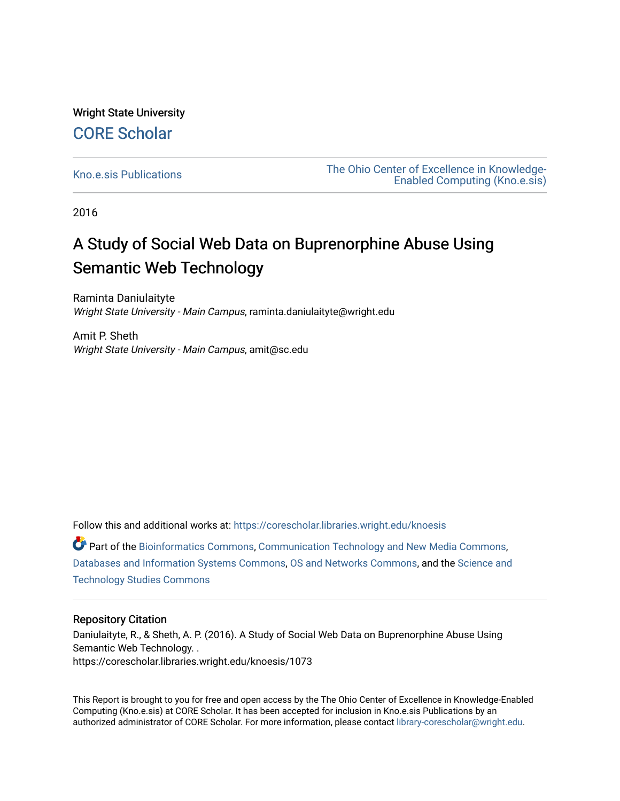Wright State University [CORE Scholar](https://corescholar.libraries.wright.edu/)

[Kno.e.sis Publications](https://corescholar.libraries.wright.edu/knoesis) [The Ohio Center of Excellence in Knowledge-](https://corescholar.libraries.wright.edu/knoesis_comm)[Enabled Computing \(Kno.e.sis\)](https://corescholar.libraries.wright.edu/knoesis_comm) 

2016

# A Study of Social Web Data on Buprenorphine Abuse Using Semantic Web Technology

Raminta Daniulaityte Wright State University - Main Campus, raminta.daniulaityte@wright.edu

Amit P. Sheth Wright State University - Main Campus, amit@sc.edu

Follow this and additional works at: [https://corescholar.libraries.wright.edu/knoesis](https://corescholar.libraries.wright.edu/knoesis?utm_source=corescholar.libraries.wright.edu%2Fknoesis%2F1073&utm_medium=PDF&utm_campaign=PDFCoverPages) 

Part of the [Bioinformatics Commons,](http://network.bepress.com/hgg/discipline/110?utm_source=corescholar.libraries.wright.edu%2Fknoesis%2F1073&utm_medium=PDF&utm_campaign=PDFCoverPages) [Communication Technology and New Media Commons,](http://network.bepress.com/hgg/discipline/327?utm_source=corescholar.libraries.wright.edu%2Fknoesis%2F1073&utm_medium=PDF&utm_campaign=PDFCoverPages) [Databases and Information Systems Commons](http://network.bepress.com/hgg/discipline/145?utm_source=corescholar.libraries.wright.edu%2Fknoesis%2F1073&utm_medium=PDF&utm_campaign=PDFCoverPages), [OS and Networks Commons](http://network.bepress.com/hgg/discipline/149?utm_source=corescholar.libraries.wright.edu%2Fknoesis%2F1073&utm_medium=PDF&utm_campaign=PDFCoverPages), and the [Science and](http://network.bepress.com/hgg/discipline/435?utm_source=corescholar.libraries.wright.edu%2Fknoesis%2F1073&utm_medium=PDF&utm_campaign=PDFCoverPages) [Technology Studies Commons](http://network.bepress.com/hgg/discipline/435?utm_source=corescholar.libraries.wright.edu%2Fknoesis%2F1073&utm_medium=PDF&utm_campaign=PDFCoverPages) 

#### Repository Citation

Daniulaityte, R., & Sheth, A. P. (2016). A Study of Social Web Data on Buprenorphine Abuse Using Semantic Web Technology. . https://corescholar.libraries.wright.edu/knoesis/1073

This Report is brought to you for free and open access by the The Ohio Center of Excellence in Knowledge-Enabled Computing (Kno.e.sis) at CORE Scholar. It has been accepted for inclusion in Kno.e.sis Publications by an authorized administrator of CORE Scholar. For more information, please contact [library-corescholar@wright.edu](mailto:library-corescholar@wright.edu).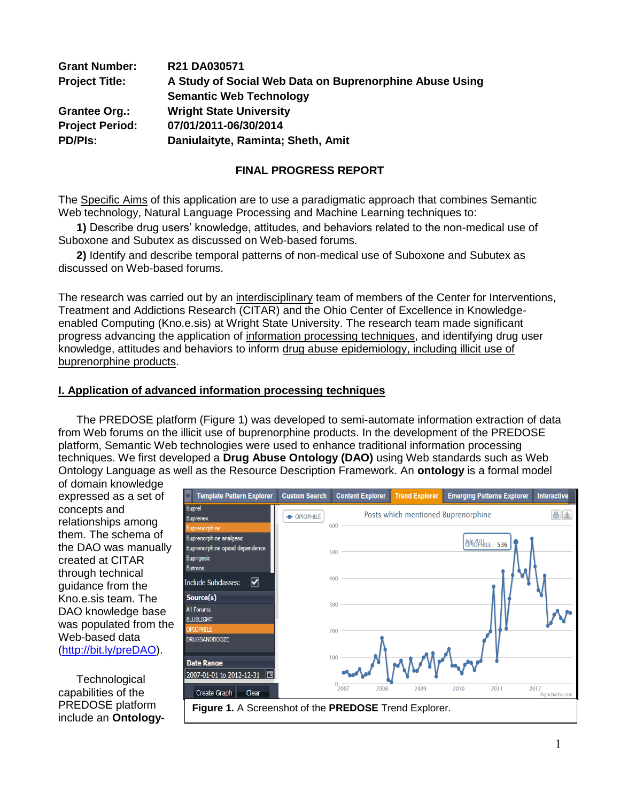| <b>Grant Number:</b>   | R21 DA030571                                            |
|------------------------|---------------------------------------------------------|
| <b>Project Title:</b>  | A Study of Social Web Data on Buprenorphine Abuse Using |
|                        | <b>Semantic Web Technology</b>                          |
| <b>Grantee Org.:</b>   | <b>Wright State University</b>                          |
| <b>Project Period:</b> | 07/01/2011-06/30/2014                                   |
| <b>PD/Pls:</b>         | Daniulaityte, Raminta; Sheth, Amit                      |

## **FINAL PROGRESS REPORT**

The Specific Aims of this application are to use a paradigmatic approach that combines Semantic Web technology, Natural Language Processing and Machine Learning techniques to:

**1)** Describe drug users' knowledge, attitudes, and behaviors related to the non-medical use of Suboxone and Subutex as discussed on Web-based forums.

**2)** Identify and describe temporal patterns of non-medical use of Suboxone and Subutex as discussed on Web-based forums.

The research was carried out by an interdisciplinary team of members of the Center for Interventions, Treatment and Addictions Research (CITAR) and the Ohio Center of Excellence in Knowledgeenabled Computing (Kno.e.sis) at Wright State University. The research team made significant progress advancing the application of information processing techniques, and identifying drug user knowledge, attitudes and behaviors to inform drug abuse epidemiology, including illicit use of buprenorphine products.

### **I. Application of advanced information processing techniques**

The PREDOSE platform (Figure 1) was developed to semi-automate information extraction of data from Web forums on the illicit use of buprenorphine products. In the development of the PREDOSE platform, Semantic Web technologies were used to enhance traditional information processing techniques. We first developed a **Drug Abuse Ontology (DAO)** using Web standards such as Web Ontology Language as well as the Resource Description Framework. An **ontology** is a formal model

of domain knowledge expressed as a set of concepts and relationships among them. The schema of the DAO was manually created at CITAR through technical guidance from the Kno.e.sis team. The DAO knowledge base was populated from the Web-based data [\(http://bit.ly/preDAO\)](http://bit.ly/preDAO).

**Technological** capabilities of the PREDOSE platform include an **Ontology-**

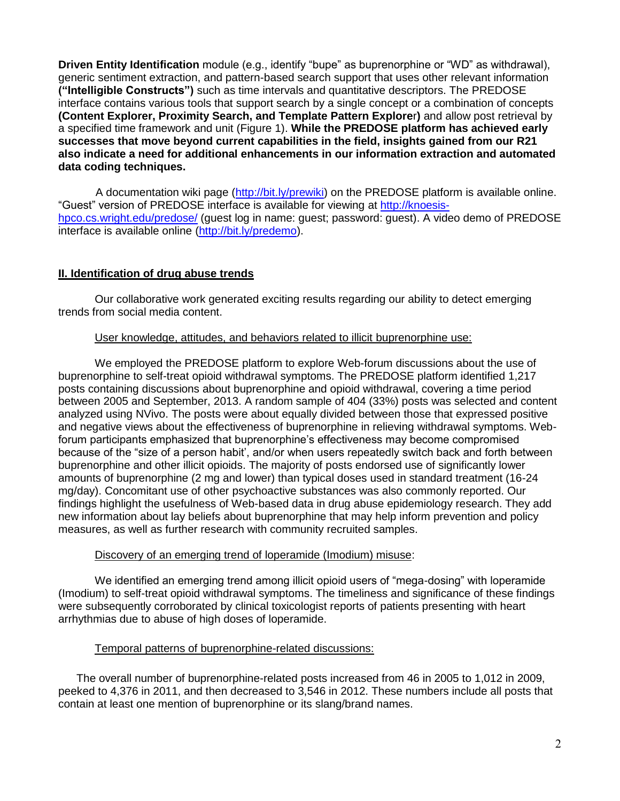**Driven Entity Identification** module (e.g., identify "bupe" as buprenorphine or "WD" as withdrawal), generic sentiment extraction, and pattern-based search support that uses other relevant information **("Intelligible Constructs")** such as time intervals and quantitative descriptors. The PREDOSE interface contains various tools that support search by a single concept or a combination of concepts **(Content Explorer, Proximity Search, and Template Pattern Explore**r**)** and allow post retrieval by a specified time framework and unit (Figure 1). **While the PREDOSE platform has achieved early successes that move beyond current capabilities in the field, insights gained from our R21 also indicate a need for additional enhancements in our information extraction and automated data coding techniques.**

 A documentation wiki page [\(http://bit.ly/prewiki\)](http://bit.ly/prewiki) on the PREDOSE platform is available online. "Guest" version of PREDOSE interface is available for viewing at [http://knoesis](http://knoesis-hpco.cs.wright.edu/predose/)[hpco.cs.wright.edu/predose/](http://knoesis-hpco.cs.wright.edu/predose/) (guest log in name: guest; password: guest). A video demo of PREDOSE interface is available online [\(http://bit.ly/predemo\)](http://bit.ly/predemo).

## **II. Identification of drug abuse trends**

Our collaborative work generated exciting results regarding our ability to detect emerging trends from social media content.

## User knowledge, attitudes, and behaviors related to illicit buprenorphine use:

We employed the PREDOSE platform to explore Web-forum discussions about the use of buprenorphine to self-treat opioid withdrawal symptoms. The PREDOSE platform identified 1,217 posts containing discussions about buprenorphine and opioid withdrawal, covering a time period between 2005 and September, 2013. A random sample of 404 (33%) posts was selected and content analyzed using NVivo. The posts were about equally divided between those that expressed positive and negative views about the effectiveness of buprenorphine in relieving withdrawal symptoms. Webforum participants emphasized that buprenorphine's effectiveness may become compromised because of the "size of a person habit', and/or when users repeatedly switch back and forth between buprenorphine and other illicit opioids. The majority of posts endorsed use of significantly lower amounts of buprenorphine (2 mg and lower) than typical doses used in standard treatment (16-24 mg/day). Concomitant use of other psychoactive substances was also commonly reported. Our findings highlight the usefulness of Web-based data in drug abuse epidemiology research. They add new information about lay beliefs about buprenorphine that may help inform prevention and policy measures, as well as further research with community recruited samples.

## Discovery of an emerging trend of loperamide (Imodium) misuse:

We identified an emerging trend among illicit opioid users of "mega-dosing" with loperamide (Imodium) to self-treat opioid withdrawal symptoms. The timeliness and significance of these findings were subsequently corroborated by clinical toxicologist reports of patients presenting with heart arrhythmias due to abuse of high doses of loperamide.

## Temporal patterns of buprenorphine-related discussions:

The overall number of buprenorphine-related posts increased from 46 in 2005 to 1,012 in 2009, peeked to 4,376 in 2011, and then decreased to 3,546 in 2012. These numbers include all posts that contain at least one mention of buprenorphine or its slang/brand names.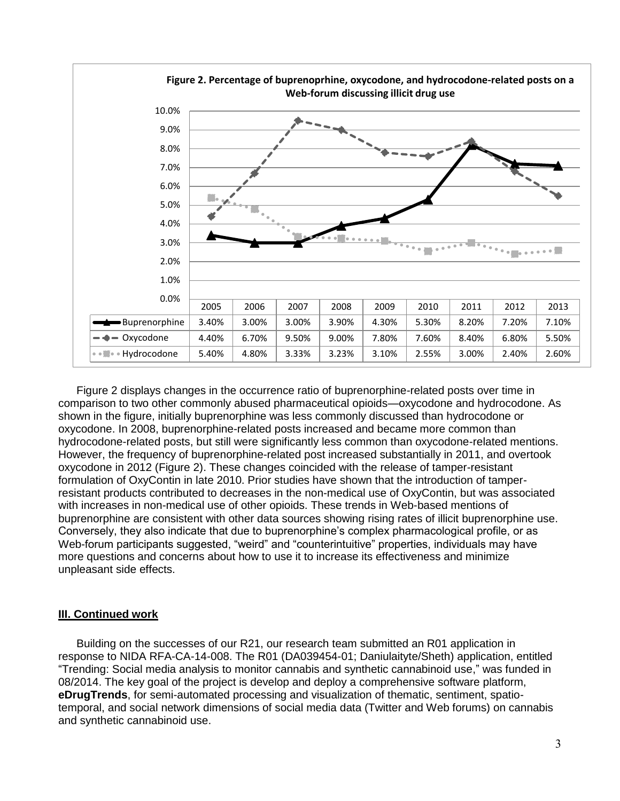

Figure 2 displays changes in the occurrence ratio of buprenorphine-related posts over time in comparison to two other commonly abused pharmaceutical opioids—oxycodone and hydrocodone. As shown in the figure, initially buprenorphine was less commonly discussed than hydrocodone or oxycodone. In 2008, buprenorphine-related posts increased and became more common than hydrocodone-related posts, but still were significantly less common than oxycodone-related mentions. However, the frequency of buprenorphine-related post increased substantially in 2011, and overtook oxycodone in 2012 (Figure 2). These changes coincided with the release of tamper-resistant formulation of OxyContin in late 2010. Prior studies have shown that the introduction of tamperresistant products contributed to decreases in the non-medical use of OxyContin, but was associated with increases in non-medical use of other opioids. These trends in Web-based mentions of buprenorphine are consistent with other data sources showing rising rates of illicit buprenorphine use. Conversely, they also indicate that due to buprenorphine's complex pharmacological profile, or as Web-forum participants suggested, "weird" and "counterintuitive" properties, individuals may have more questions and concerns about how to use it to increase its effectiveness and minimize unpleasant side effects.

## **III. Continued work**

Building on the successes of our R21, our research team submitted an R01 application in response to NIDA RFA-CA-14-008. The R01 (DA039454-01; Daniulaityte/Sheth) application, entitled "Trending: Social media analysis to monitor cannabis and synthetic cannabinoid use," was funded in 08/2014. The key goal of the project is develop and deploy a comprehensive software platform, **eDrugTrends**, for semi-automated processing and visualization of thematic, sentiment, spatiotemporal, and social network dimensions of social media data (Twitter and Web forums) on cannabis and synthetic cannabinoid use.